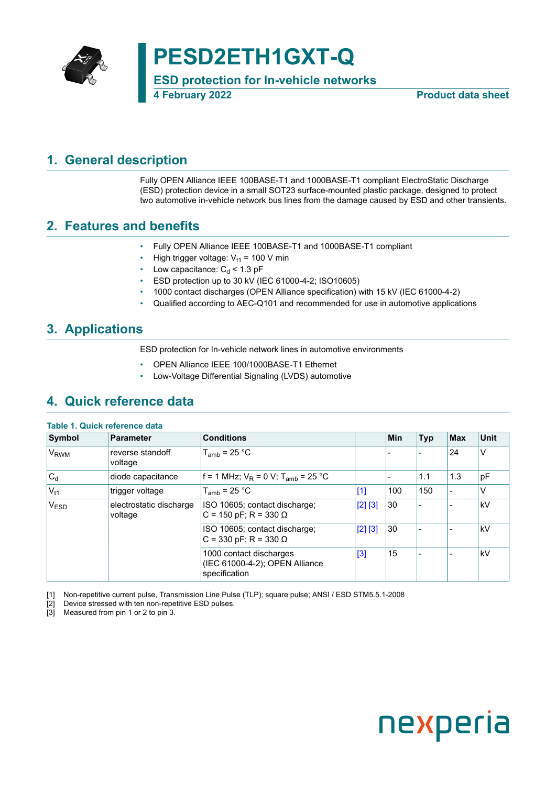

## **PESD2ETH1GXT-Q**

**ESD protection for In-vehicle networks 4 February 2022 Product data sheet**

### <span id="page-0-1"></span>**1. General description**

<span id="page-0-0"></span>Fully OPEN Alliance IEEE 100BASE-T1 and 1000BASE-T1 compliant ElectroStatic Discharge (ESD) protection device in a small SOT23 surface-mounted plastic package, designed to protect two automotive in-vehicle network bus lines from the damage caused by ESD and other transients.

### <span id="page-0-2"></span>**2. Features and benefits**

- Fully OPEN Alliance IEEE 100BASE-T1 and 1000BASE-T1 compliant
- High trigger voltage:  $V_{t1}$  = 100 V min
- Low capacitance:  $C_d$  < 1.3 pF
- ESD protection up to 30 kV (IEC 61000-4-2; ISO10605)
- 1000 contact discharges (OPEN Alliance specification) with 15 kV (IEC 61000-4-2)
- Qualified according to AEC-Q101 and recommended for use in automotive applications

### <span id="page-0-3"></span>**3. Applications**

ESD protection for In-vehicle network lines in automotive environments

- OPEN Alliance IEEE 100/1000BASE-T1 Ethernet
- Low-Voltage Differential Signaling (LVDS) automotive

### <span id="page-0-4"></span>**4. Quick reference data**

| Symbol                 | Parameter                          | <b>Conditions</b>                                                          |         | Min | <b>Typ</b> | <b>Max</b> | <b>Unit</b> |
|------------------------|------------------------------------|----------------------------------------------------------------------------|---------|-----|------------|------------|-------------|
| <b>V<sub>RWM</sub></b> | reverse standoff<br>voltage        | $T_{amb}$ = 25 °C                                                          |         |     |            | 24         | V           |
| $C_d$                  | diode capacitance                  | f = 1 MHz; $V_R$ = 0 V; T <sub>amb</sub> = 25 °C                           |         |     | 1.1        | 1.3        | pF          |
| $V_{t1}$               | trigger voltage                    | $T_{amb}$ = 25 °C                                                          | $[1]$   | 100 | 150        |            | V           |
| V <sub>ESD</sub>       | electrostatic discharge<br>voltage | ISO 10605; contact discharge;<br>$C = 150$ pF; R = 330 $\Omega$            | [2] [3] | 30  | -          |            | kV          |
|                        |                                    | ISO 10605; contact discharge;<br>$C = 330$ pF; R = 330 $\Omega$            | [2] [3] | 30  |            |            | kV          |
|                        |                                    | 1000 contact discharges<br>(IEC 61000-4-2); OPEN Alliance<br>specification | $[3]$   | 15  |            |            | kV          |

[1] Non-repetitive current pulse, Transmission Line Pulse (TLP); square pulse; ANSI / ESD STM5.5.1-2008

[2] Device stressed with ten non-repetitive ESD pulses.

[3] Measured from pin 1 or 2 to pin 3.

# nexperia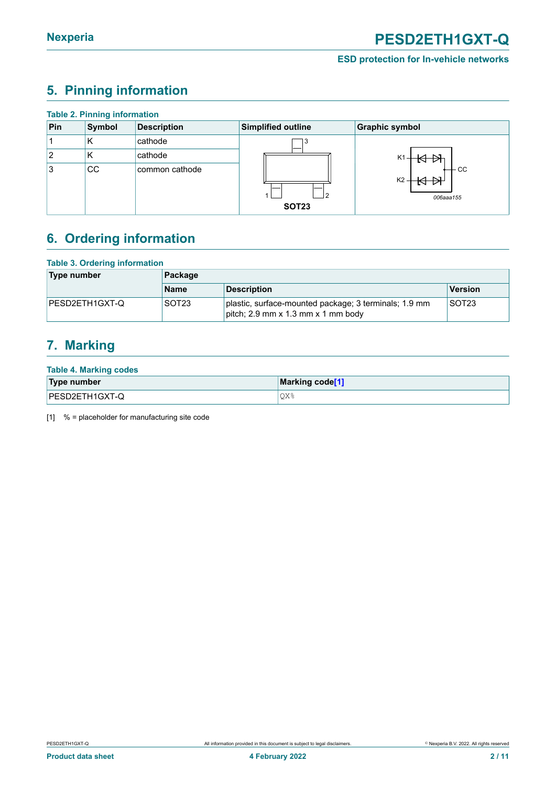### <span id="page-1-1"></span><span id="page-1-0"></span>**5. Pinning information**

|                | <b>Table 2. Pinning information</b> |                    |                    |                                    |
|----------------|-------------------------------------|--------------------|--------------------|------------------------------------|
| Pin            | Symbol                              | <b>Description</b> | Simplified outline | <b>Graphic symbol</b>              |
|                | κ                                   | cathode            |                    |                                    |
| $\overline{2}$ | κ                                   | cathode            |                    |                                    |
| 3              | <b>CC</b>                           | common cathode     | <b>SOT23</b>       | CC.<br>K <sub>2</sub><br>006aaa155 |

### <span id="page-1-2"></span>**6. Ordering information**

#### **Table 3. Ordering information**

| Type number    | Package     |                                                                                             |                   |  |  |  |
|----------------|-------------|---------------------------------------------------------------------------------------------|-------------------|--|--|--|
|                | <b>Name</b> | <b>Description</b>                                                                          | Version           |  |  |  |
| PESD2ETH1GXT-Q | ISOT23      | plastic, surface-mounted package; 3 terminals; 1.9 mm<br>pitch; 2.9 mm x 1.3 mm x 1 mm body | SOT <sub>23</sub> |  |  |  |

### <span id="page-1-3"></span>**7. Marking**

#### **Table 4. Marking codes**

| Type number           | Marking code <sup>[1]</sup> |
|-----------------------|-----------------------------|
| <b>PESD2ETH1GXT-Q</b> | QX%                         |

[1] % = placeholder for manufacturing site code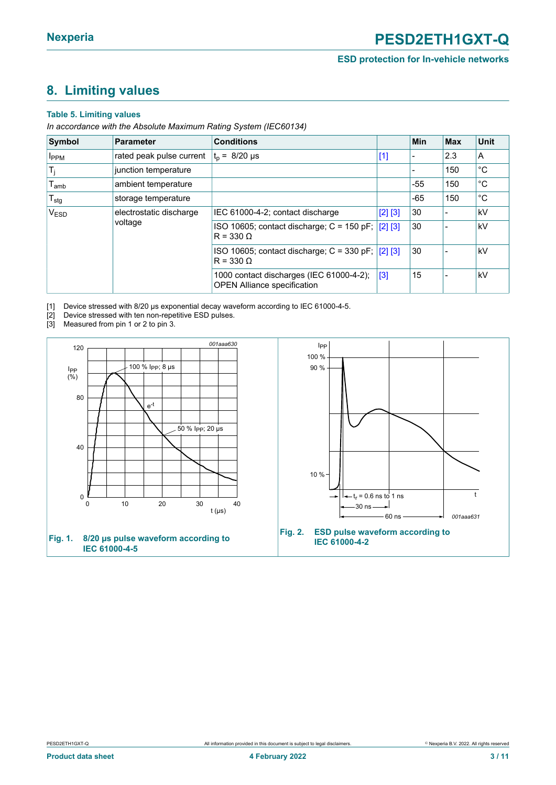### <span id="page-2-1"></span><span id="page-2-0"></span>**8. Limiting values**

#### **Table 5. Limiting values**

*In accordance with the Absolute Maximum Rating System (IEC60134)*

| <b>Symbol</b>               | <b>Parameter</b>                   | <b>Conditions</b>                                                              |         | <b>Min</b> | <b>Max</b> | <b>Unit</b> |
|-----------------------------|------------------------------------|--------------------------------------------------------------------------------|---------|------------|------------|-------------|
| <b>I</b> PPM                | rated peak pulse current           | $t_{p}$ = 8/20 µs                                                              | $[1]$   |            | 2.3        | A           |
| $T_j$                       | junction temperature               |                                                                                |         |            | 150        | °C          |
| $I_{amb}$                   | ambient temperature                |                                                                                |         | $-55$      | 150        | °C          |
| $\mathsf{T}_{\text{stg}}$   | storage temperature                |                                                                                |         | $-65$      | 150        | °C          |
| $\mathsf{V}_{\mathsf{ESD}}$ | electrostatic discharge<br>voltage | IEC 61000-4-2; contact discharge                                               | [2] [3] | 30         |            | kV          |
|                             |                                    | ISO 10605; contact discharge; C = 150 pF; $[2]$ [3]<br>$R = 330 \Omega$        |         | 30         |            | kV          |
|                             |                                    | $ISO$ 10605; contact discharge; $C = 330$ pF; $[2]$ [3]<br>$R = 330 \Omega$    |         | 30         |            | kV          |
|                             |                                    | 1000 contact discharges (IEC 61000-4-2);<br><b>OPEN Alliance specification</b> | $[3]$   | 15         |            | kV          |

[1] Device stressed with 8/20 μs exponential decay waveform according to IEC 61000-4-5.

- Device stressed with ten non-repetitive ESD pulses.
- Measured from pin 1 or 2 to pin 3.

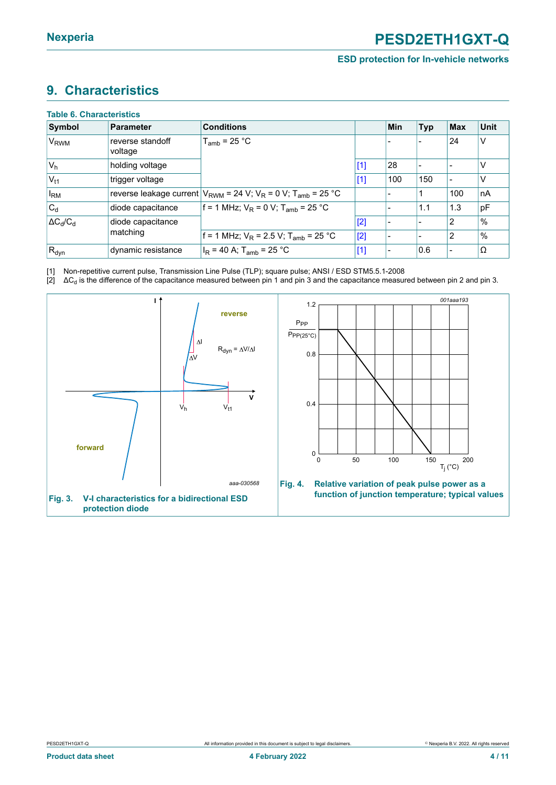### <span id="page-3-1"></span><span id="page-3-0"></span>**9. Characteristics**

| <b>Table 6. Characteristics</b> |                             |                                                                                                 |       |     |            |            |             |
|---------------------------------|-----------------------------|-------------------------------------------------------------------------------------------------|-------|-----|------------|------------|-------------|
| Symbol                          | Parameter                   | <b>Conditions</b>                                                                               |       | Min | <b>Typ</b> | <b>Max</b> | <b>Unit</b> |
| <b>V<sub>RWM</sub></b>          | reverse standoff<br>voltage | $T_{amb}$ = 25 °C                                                                               |       |     |            | 24         | V           |
| $V_h$                           | holding voltage             |                                                                                                 | $[1]$ | 28  |            |            | ٧           |
| $V_{t1}$                        | trigger voltage             |                                                                                                 | $[1]$ | 100 | 150        |            | V           |
| $I_{\rm RM}$                    |                             | reverse leakage current $V_{\text{RWM}}$ = 24 V; $V_{\text{R}}$ = 0 V; $T_{\text{amb}}$ = 25 °C |       |     |            | 100        | nA          |
| $ C_d $                         | diode capacitance           | $f = 1$ MHz; $V_R = 0$ V; $T_{amb} = 25$ °C                                                     |       |     | 1.1        | 1.3        | pF          |
| $\Delta C_d/C_d$                | diode capacitance           |                                                                                                 | [2]   |     |            | 2          | $\%$        |
|                                 | matching                    | f = 1 MHz; $V_R$ = 2.5 V; T <sub>amb</sub> = 25 °C                                              | [2]   |     |            | 2          | $\%$        |
| $R_{dyn}$                       | dynamic resistance          | $I_R$ = 40 A; T <sub>amb</sub> = 25 °C                                                          | $[1]$ |     | 0.6        |            | Ω           |

[1] Non-repetitive current pulse, Transmission Line Pulse (TLP); square pulse; ANSI / ESD STM5.5.1-2008

[2]  $\Delta C_d$  is the difference of the capacitance measured between pin 1 and pin 3 and the capacitance measured between pin 2 and pin 3.

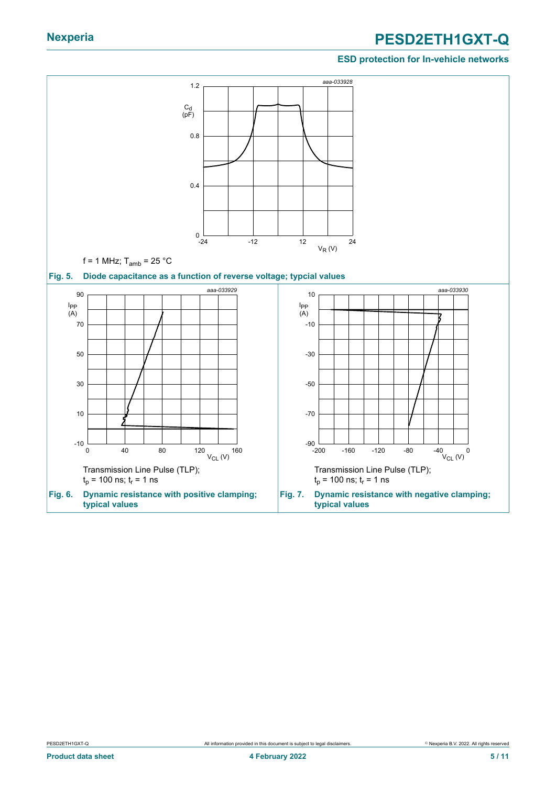### **Nexperia PESD2ETH1GXT-Q**

#### **ESD protection for In-vehicle networks**

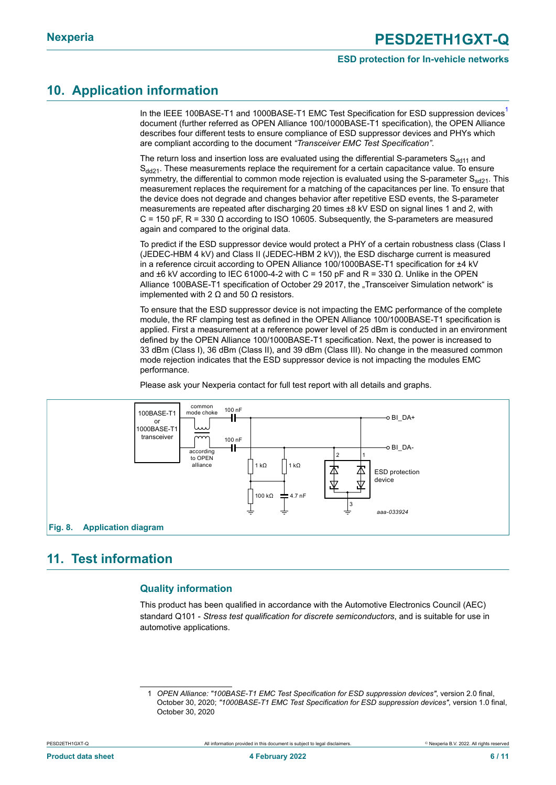### <span id="page-5-1"></span>**10. Application information**

In the IEEE [1](#page-5-0)00BASE-T1 and 1000BASE-T1 EMC Test Specification for ESD suppression devices<sup>1</sup> document (further referred as OPEN Alliance 100/1000BASE-T1 specification), the OPEN Alliance describes four different tests to ensure compliance of ESD suppressor devices and PHYs which are compliant according to the document *"Transceiver EMC Test Specification"*.

The return loss and insertion loss are evaluated using the differential S-parameters  $S_{dd11}$  and  $S_{dd21}$ . These measurements replace the requirement for a certain capacitance value. To ensure symmetry, the differential to common mode rejection is evaluated using the S-parameter  $S_{sd21}$ . This measurement replaces the requirement for a matching of the capacitances per line. To ensure that the device does not degrade and changes behavior after repetitive ESD events, the S-parameter measurements are repeated after discharging 20 times ±8 kV ESD on signal lines 1 and 2, with C = 150 pF, R = 330  $\Omega$  according to ISO 10605. Subsequently, the S-parameters are measured again and compared to the original data.

To predict if the ESD suppressor device would protect a PHY of a certain robustness class (Class I (JEDEC-HBM 4 kV) and Class II (JEDEC-HBM 2 kV)), the ESD discharge current is measured in a reference circuit according to OPEN Alliance 100/1000BASE-T1 specification for ±4 kV and  $\pm 6$  kV according to IEC 61000-4-2 with C = 150 pF and R = 330  $\Omega$ . Unlike in the OPEN Alliance 100BASE-T1 specification of October 29 2017, the "Transceiver Simulation network" is implemented with 2  $Ω$  and 50  $Ω$  resistors.

To ensure that the ESD suppressor device is not impacting the EMC performance of the complete module, the RF clamping test as defined in the OPEN Alliance 100/1000BASE-T1 specification is applied. First a measurement at a reference power level of 25 dBm is conducted in an environment defined by the OPEN Alliance 100/1000BASE-T1 specification. Next, the power is increased to 33 dBm (Class I), 36 dBm (Class II), and 39 dBm (Class III). No change in the measured common mode rejection indicates that the ESD suppressor device is not impacting the modules EMC performance.

Please ask your Nexperia contact for full test report with all details and graphs.



### <span id="page-5-2"></span>**11. Test information**

#### **Quality information**

This product has been qualified in accordance with the Automotive Electronics Council (AEC) standard Q101 - *Stress test qualification for discrete semiconductors*, and is suitable for use in automotive applications.

<span id="page-5-0"></span><sup>1</sup> *OPEN Alliance: "100BASE-T1 EMC Test Specification for ESD suppression devices"*, version 2.0 final, October 30, 2020; *"1000BASE-T1 EMC Test Specification for ESD suppression devices"*, version 1.0 final, October 30, 2020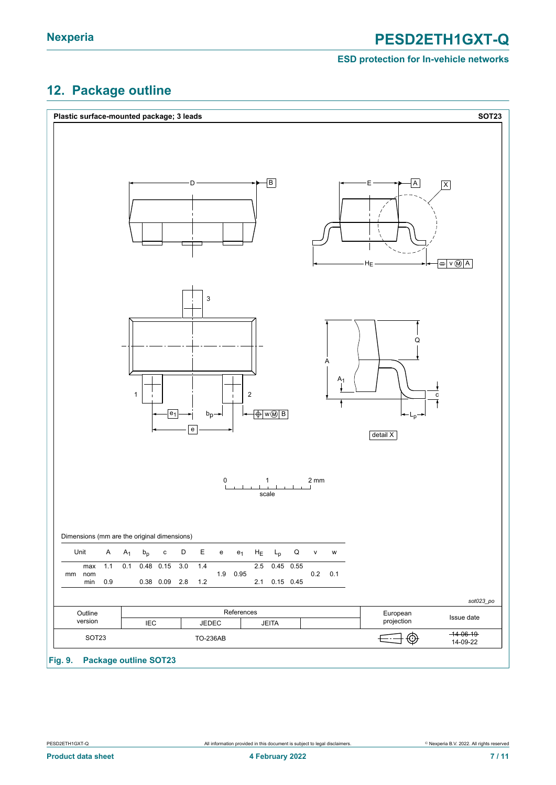### <span id="page-6-0"></span>**12. Package outline**

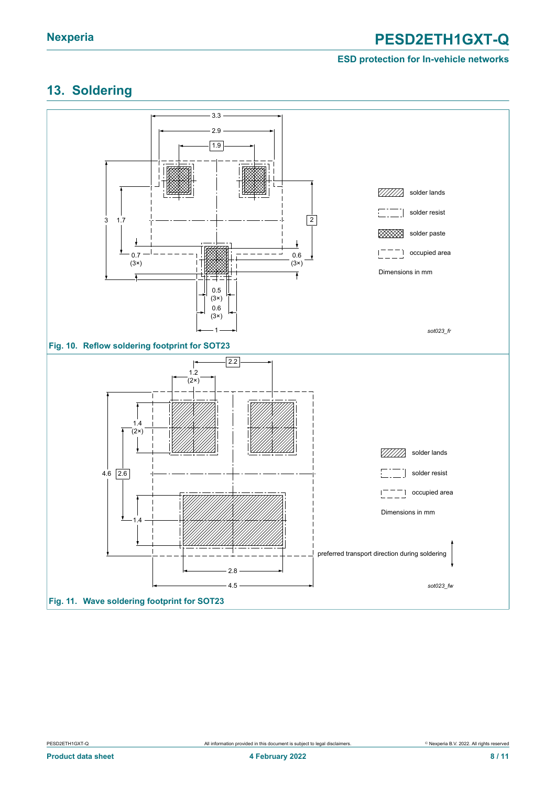### **Nexperia PESD2ETH1GXT-Q**

### **ESD protection for In-vehicle networks**

### <span id="page-7-0"></span>**13. Soldering**

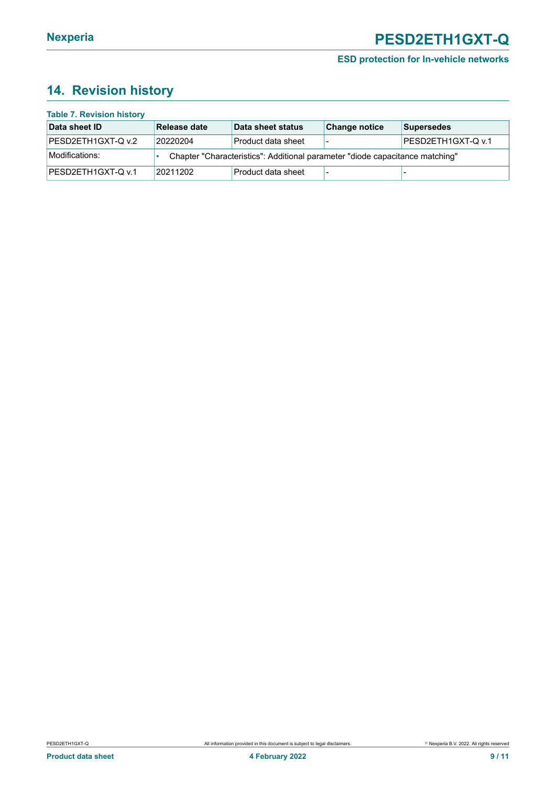### <span id="page-8-0"></span>**14. Revision history**

| <b>Table 7. Revision history</b> |              |                                                                              |                      |                     |
|----------------------------------|--------------|------------------------------------------------------------------------------|----------------------|---------------------|
| Data sheet ID                    | Release date | Data sheet status                                                            | <b>Change notice</b> | Supersedes          |
| PESD2ETH1GXT-Q v.2               | 20220204     | Product data sheet                                                           |                      | IPESD2ETH1GXT-Q v.1 |
| Modifications:                   |              | Chapter "Characteristics": Additional parameter "diode capacitance matching" |                      |                     |
| <b>PESD2ETH1GXT-Q v.1</b>        | 20211202     | Product data sheet                                                           |                      |                     |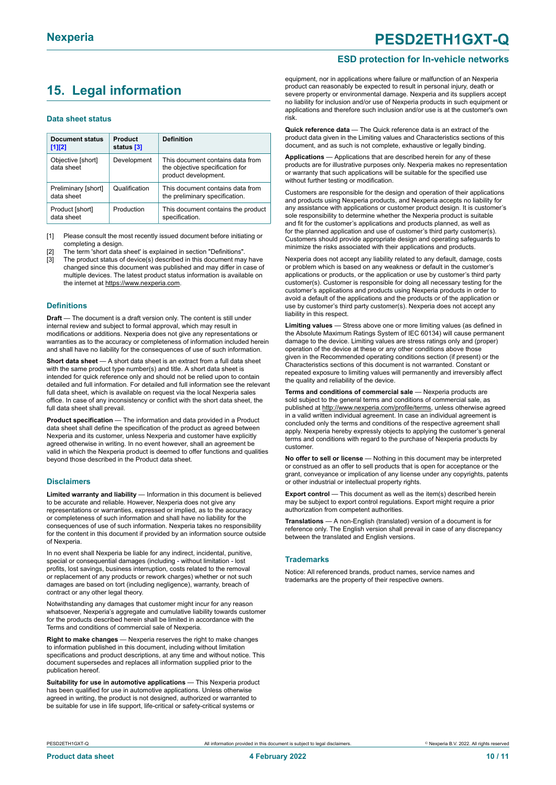### <span id="page-9-0"></span>**15. Legal information**

#### **Data sheet status**

| Document status<br>$[1]$ [2]      | Product<br>status [3] | <b>Definition</b>                                                                           |
|-----------------------------------|-----------------------|---------------------------------------------------------------------------------------------|
| Objective [short]<br>data sheet   | Development           | This document contains data from<br>the objective specification for<br>product development. |
| Preliminary [short]<br>data sheet | Qualification         | This document contains data from<br>the preliminary specification.                          |
| Product [short]<br>data sheet     | Production            | This document contains the product<br>specification.                                        |

[1] Please consult the most recently issued document before initiating or completing a design.

- The term 'short data sheet' is explained in section "Definitions"
- [3] The product status of device(s) described in this document may have changed since this document was published and may differ in case of multiple devices. The latest product status information is available on the internet at [https://www.nexperia.com.](https://www.nexperia.com)

#### **Definitions**

**Draft** — The document is a draft version only. The content is still under internal review and subject to formal approval, which may result in modifications or additions. Nexperia does not give any representations or warranties as to the accuracy or completeness of information included herein and shall have no liability for the consequences of use of such information.

**Short data sheet** — A short data sheet is an extract from a full data sheet with the same product type number(s) and title. A short data sheet is intended for quick reference only and should not be relied upon to contain detailed and full information. For detailed and full information see the relevant full data sheet, which is available on request via the local Nexperia sales office. In case of any inconsistency or conflict with the short data sheet, the full data sheet shall prevail.

**Product specification** — The information and data provided in a Product data sheet shall define the specification of the product as agreed between Nexperia and its customer, unless Nexperia and customer have explicitly agreed otherwise in writing. In no event however, shall an agreement be valid in which the Nexperia product is deemed to offer functions and qualities beyond those described in the Product data sheet.

#### **Disclaimers**

**Limited warranty and liability** — Information in this document is believed to be accurate and reliable. However, Nexperia does not give any representations or warranties, expressed or implied, as to the accuracy or completeness of such information and shall have no liability for the consequences of use of such information. Nexperia takes no responsibility for the content in this document if provided by an information source outside of Nexperia.

In no event shall Nexperia be liable for any indirect, incidental, punitive, special or consequential damages (including - without limitation - lost profits, lost savings, business interruption, costs related to the removal or replacement of any products or rework charges) whether or not such damages are based on tort (including negligence), warranty, breach of contract or any other legal theory.

Notwithstanding any damages that customer might incur for any reason whatsoever, Nexperia's aggregate and cumulative liability towards customer for the products described herein shall be limited in accordance with the Terms and conditions of commercial sale of Nexperia.

**Right to make changes** — Nexperia reserves the right to make changes to information published in this document, including without limitation specifications and product descriptions, at any time and without notice. This document supersedes and replaces all information supplied prior to the publication hereof

**Suitability for use in automotive applications** — This Nexperia product has been qualified for use in automotive applications. Unless otherwise agreed in writing, the product is not designed, authorized or warranted to be suitable for use in life support, life-critical or safety-critical systems or

#### **ESD protection for In-vehicle networks**

equipment, nor in applications where failure or malfunction of an Nexperia product can reasonably be expected to result in personal injury, death or severe property or environmental damage. Nexperia and its suppliers accept no liability for inclusion and/or use of Nexperia products in such equipment or applications and therefore such inclusion and/or use is at the customer's own risk.

**Quick reference data** — The Quick reference data is an extract of the product data given in the Limiting values and Characteristics sections of this document, and as such is not complete, exhaustive or legally binding.

**Applications** — Applications that are described herein for any of these products are for illustrative purposes only. Nexperia makes no representation or warranty that such applications will be suitable for the specified use without further testing or modification.

Customers are responsible for the design and operation of their applications and products using Nexperia products, and Nexperia accepts no liability for any assistance with applications or customer product design. It is customer's sole responsibility to determine whether the Nexperia product is suitable and fit for the customer's applications and products planned, as well as for the planned application and use of customer's third party customer(s). Customers should provide appropriate design and operating safeguards to minimize the risks associated with their applications and products.

Nexperia does not accept any liability related to any default, damage, costs or problem which is based on any weakness or default in the customer's applications or products, or the application or use by customer's third party customer(s). Customer is responsible for doing all necessary testing for the customer's applications and products using Nexperia products in order to avoid a default of the applications and the products or of the application or use by customer's third party customer(s). Nexperia does not accept any liability in this respect.

**Limiting values** — Stress above one or more limiting values (as defined in the Absolute Maximum Ratings System of IEC 60134) will cause permanent damage to the device. Limiting values are stress ratings only and (proper) operation of the device at these or any other conditions above those given in the Recommended operating conditions section (if present) or the Characteristics sections of this document is not warranted. Constant or repeated exposure to limiting values will permanently and irreversibly affect the quality and reliability of the device.

**Terms and conditions of commercial sale** — Nexperia products are sold subject to the general terms and conditions of commercial sale, as published at [http://www.nexperia.com/profile/terms,](http://www.nexperia.com/profile/terms) unless otherwise agreed in a valid written individual agreement. In case an individual agreement is concluded only the terms and conditions of the respective agreement shall apply. Nexperia hereby expressly objects to applying the customer's general terms and conditions with regard to the purchase of Nexperia products by customer.

**No offer to sell or license** — Nothing in this document may be interpreted or construed as an offer to sell products that is open for acceptance or the grant, conveyance or implication of any license under any copyrights, patents or other industrial or intellectual property rights.

**Export control** — This document as well as the item(s) described herein may be subject to export control regulations. Export might require a prior authorization from competent authorities.

**Translations** — A non-English (translated) version of a document is for reference only. The English version shall prevail in case of any discrepancy between the translated and English versions.

#### **Trademarks**

Notice: All referenced brands, product names, service names and trademarks are the property of their respective owners.